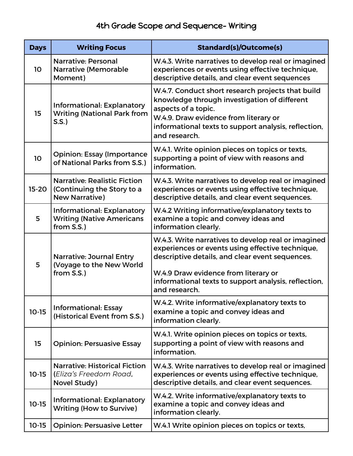## 4th Grade Scope and Sequence- Writing

| <b>Days</b>     | <b>Writing Focus</b>                                                                       | <b>Standard(s)/Outcome(s)</b>                                                                                                                                                                                                                                               |
|-----------------|--------------------------------------------------------------------------------------------|-----------------------------------------------------------------------------------------------------------------------------------------------------------------------------------------------------------------------------------------------------------------------------|
| 10 <sub>o</sub> | <b>Narrative: Personal</b><br><b>Narrative (Memorable</b><br>Moment)                       | W.4.3. Write narratives to develop real or imagined<br>experiences or events using effective technique,<br>descriptive details, and clear event sequences                                                                                                                   |
| 15              | <b>Informational: Explanatory</b><br><b>Writing (National Park from</b><br>S.S.            | W.4.7. Conduct short research projects that build<br>knowledge through investigation of different<br>aspects of a topic.<br>W.4.9. Draw evidence from literary or<br>informational texts to support analysis, reflection,<br>and research.                                  |
| 10              | <b>Opinion: Essay (Importance</b><br>of National Parks from S.S.)                          | W.4.1. Write opinion pieces on topics or texts,<br>supporting a point of view with reasons and<br>information.                                                                                                                                                              |
| $15 - 20$       | <b>Narrative: Realistic Fiction</b><br>(Continuing the Story to a<br><b>New Narrative)</b> | W.4.3. Write narratives to develop real or imagined<br>experiences or events using effective technique,<br>descriptive details, and clear event sequences.                                                                                                                  |
| 5               | <b>Informational: Explanatory</b><br><b>Writing (Native Americans</b><br>from S.S.)        | W.4.2 Writing informative/explanatory texts to<br>examine a topic and convey ideas and<br>information clearly.                                                                                                                                                              |
| 5               | <b>Narrative: Journal Entry</b><br>(Voyage to the New World<br>from S.S.)                  | W.4.3. Write narratives to develop real or imagined<br>experiences or events using effective technique,<br>descriptive details, and clear event sequences.<br>W.4.9 Draw evidence from literary or<br>informational texts to support analysis, reflection,<br>and research. |
| $10-15$         | <b>Informational: Essay</b><br>(Historical Event from S.S.)                                | W.4.2. Write informative/explanatory texts to<br>examine a topic and convey ideas and<br>information clearly.                                                                                                                                                               |
| 15              | <b>Opinion: Persuasive Essay</b>                                                           | W.4.1. Write opinion pieces on topics or texts,<br>supporting a point of view with reasons and<br>information.                                                                                                                                                              |
| $10-15$         | <b>Narrative: Historical Fiction</b><br>(Eliza's Freedom Road,<br>Novel Study)             | W.4.3. Write narratives to develop real or imagined<br>experiences or events using effective technique,<br>descriptive details, and clear event sequences.                                                                                                                  |
| $10-15$         | Informational: Explanatory<br><b>Writing (How to Survive)</b>                              | W.4.2. Write informative/explanatory texts to<br>examine a topic and convey ideas and<br>information clearly.                                                                                                                                                               |
| $10-15$         | <b>Opinion: Persuasive Letter</b>                                                          | W.4.1 Write opinion pieces on topics or texts,                                                                                                                                                                                                                              |